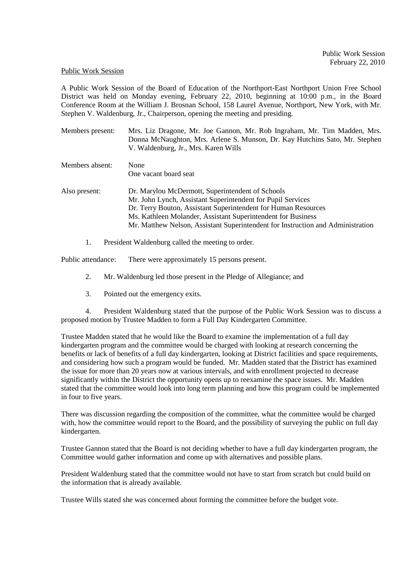## Public Work Session

Members absent: None

A Public Work Session of the Board of Education of the Northport-East Northport Union Free School District was held on Monday evening, February 22, 2010, beginning at 10:00 p.m., in the Board Conference Room at the William J. Brosnan School, 158 Laurel Avenue, Northport, New York, with Mr. Stephen V. Waldenburg, Jr., Chairperson, opening the meeting and presiding.

| Members present: | Mrs. Liz Dragone, Mr. Joe Gannon, Mr. Rob Ingraham, Mr. Tim Madden, Mrs.    |
|------------------|-----------------------------------------------------------------------------|
|                  | Donna McNaughton, Mrs. Arlene S. Munson, Dr. Kay Hutchins Sato, Mr. Stephen |
|                  | V. Waldenburg, Jr., Mrs. Karen Wills                                        |

|               | One vacant board seat                                                           |
|---------------|---------------------------------------------------------------------------------|
| Also present: | Dr. Marylou McDermott, Superintendent of Schools                                |
|               | Mr. John Lynch, Assistant Superintendent for Pupil Services                     |
|               | Dr. Terry Bouton, Assistant Superintendent for Human Resources                  |
|               | Ms. Kathleen Molander, Assistant Superintendent for Business                    |
|               | Mr. Matthew Nelson, Assistant Superintendent for Instruction and Administration |

1. President Waldenburg called the meeting to order.

Public attendance: There were approximately 15 persons present.

- 2. Mr. Waldenburg led those present in the Pledge of Allegiance; and
- 3. Pointed out the emergency exits.

4. President Waldenburg stated that the purpose of the Public Work Session was to discuss a proposed motion by Trustee Madden to form a Full Day Kindergarten Committee.

Trustee Madden stated that he would like the Board to examine the implementation of a full day kindergarten program and the committee would be charged with looking at research concerning the benefits or lack of benefits of a full day kindergarten, looking at District facilities and space requirements, and considering how such a program would be funded. Mr. Madden stated that the District has examined the issue for more than 20 years now at various intervals, and with enrollment projected to decrease significantly within the District the opportunity opens up to reexamine the space issues. Mr. Madden stated that the committee would look into long term planning and how this program could be implemented in four to five years.

There was discussion regarding the composition of the committee, what the committee would be charged with, how the committee would report to the Board, and the possibility of surveying the public on full day kindergarten.

Trustee Gannon stated that the Board is not deciding whether to have a full day kindergarten program, the Committee would gather information and come up with alternatives and possible plans.

President Waldenburg stated that the committee would not have to start from scratch but could build on the information that is already available.

Trustee Wills stated she was concerned about forming the committee before the budget vote.